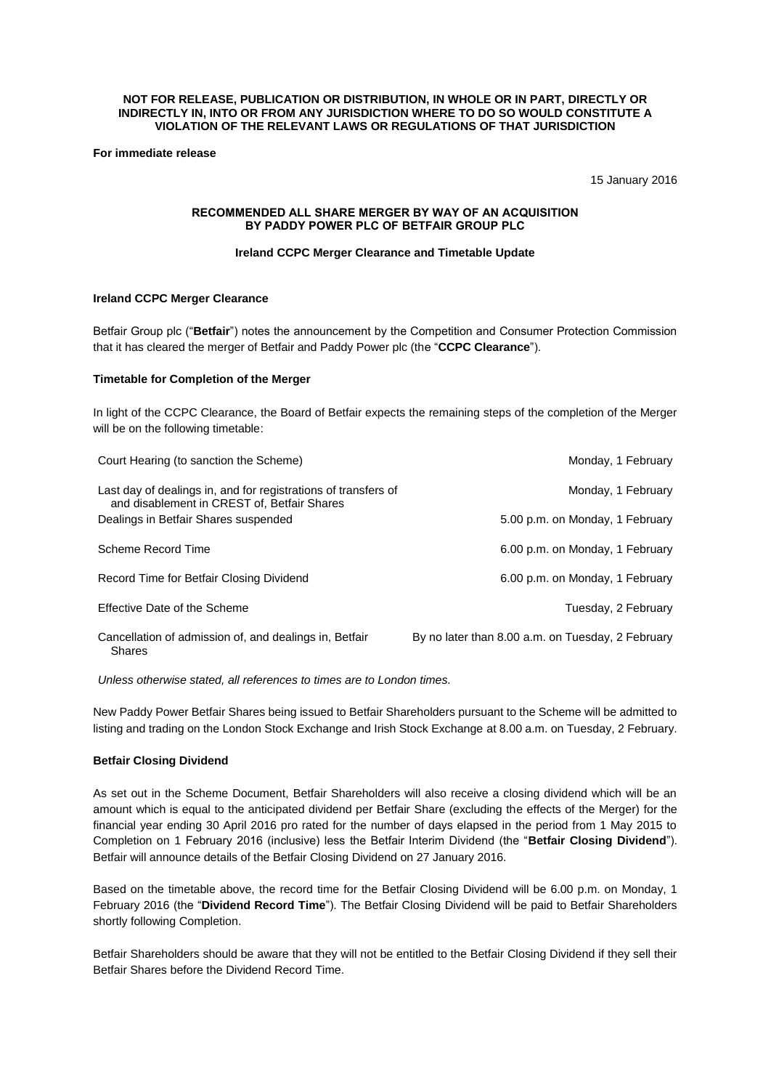#### **NOT FOR RELEASE, PUBLICATION OR DISTRIBUTION, IN WHOLE OR IN PART, DIRECTLY OR INDIRECTLY IN, INTO OR FROM ANY JURISDICTION WHERE TO DO SO WOULD CONSTITUTE A VIOLATION OF THE RELEVANT LAWS OR REGULATIONS OF THAT JURISDICTION**

**For immediate release**

15 January 2016

#### **RECOMMENDED ALL SHARE MERGER BY WAY OF AN ACQUISITION BY PADDY POWER PLC OF BETFAIR GROUP PLC**

# **Ireland CCPC Merger Clearance and Timetable Update**

# **Ireland CCPC Merger Clearance**

Betfair Group plc ("**Betfair**") notes the announcement by the Competition and Consumer Protection Commission that it has cleared the merger of Betfair and Paddy Power plc (the "**CCPC Clearance**").

# **Timetable for Completion of the Merger**

In light of the CCPC Clearance, the Board of Betfair expects the remaining steps of the completion of the Merger will be on the following timetable:

| Court Hearing (to sanction the Scheme)                                                                        | Monday, 1 February                                |
|---------------------------------------------------------------------------------------------------------------|---------------------------------------------------|
| Last day of dealings in, and for registrations of transfers of<br>and disablement in CREST of, Betfair Shares | Monday, 1 February                                |
| Dealings in Betfair Shares suspended                                                                          | 5.00 p.m. on Monday, 1 February                   |
| Scheme Record Time                                                                                            | 6.00 p.m. on Monday, 1 February                   |
| Record Time for Betfair Closing Dividend                                                                      | 6.00 p.m. on Monday, 1 February                   |
| Effective Date of the Scheme                                                                                  | Tuesday, 2 February                               |
| Cancellation of admission of, and dealings in, Betfair<br><b>Shares</b>                                       | By no later than 8.00 a.m. on Tuesday, 2 February |

*Unless otherwise stated, all references to times are to London times.*

New Paddy Power Betfair Shares being issued to Betfair Shareholders pursuant to the Scheme will be admitted to listing and trading on the London Stock Exchange and Irish Stock Exchange at 8.00 a.m. on Tuesday, 2 February.

# **Betfair Closing Dividend**

As set out in the Scheme Document, Betfair Shareholders will also receive a closing dividend which will be an amount which is equal to the anticipated dividend per Betfair Share (excluding the effects of the Merger) for the financial year ending 30 April 2016 pro rated for the number of days elapsed in the period from 1 May 2015 to Completion on 1 February 2016 (inclusive) less the Betfair Interim Dividend (the "**Betfair Closing Dividend**"). Betfair will announce details of the Betfair Closing Dividend on 27 January 2016.

Based on the timetable above, the record time for the Betfair Closing Dividend will be 6.00 p.m. on Monday, 1 February 2016 (the "**Dividend Record Time**"). The Betfair Closing Dividend will be paid to Betfair Shareholders shortly following Completion.

Betfair Shareholders should be aware that they will not be entitled to the Betfair Closing Dividend if they sell their Betfair Shares before the Dividend Record Time.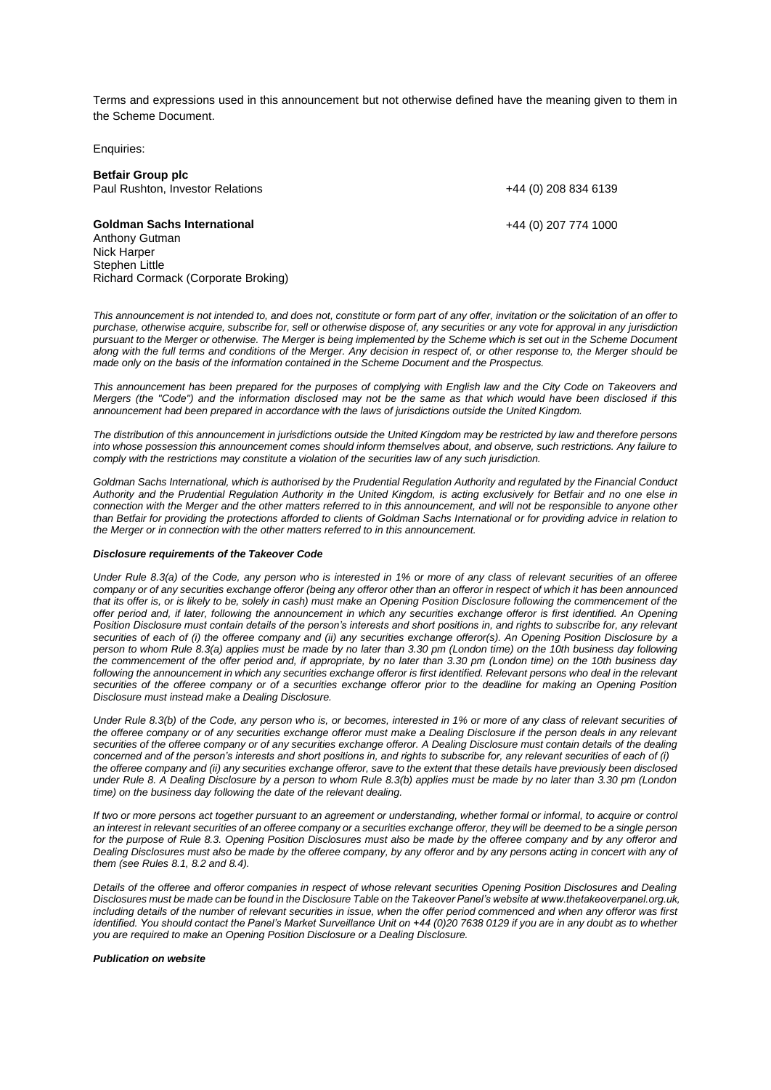Terms and expressions used in this announcement but not otherwise defined have the meaning given to them in the Scheme Document.

Enquiries:

| <b>Betfair Group plc</b>            |                      |
|-------------------------------------|----------------------|
| Paul Rushton, Investor Relations    | +44 (0) 208 834 6139 |
| <b>Goldman Sachs International</b>  | +44 (0) 207 774 1000 |
| Anthony Gutman<br>Nick Harper       |                      |
| Stephen Little                      |                      |
| Richard Cormack (Corporate Broking) |                      |

*This announcement is not intended to, and does not, constitute or form part of any offer, invitation or the solicitation of an offer to purchase, otherwise acquire, subscribe for, sell or otherwise dispose of, any securities or any vote for approval in any jurisdiction pursuant to the Merger or otherwise. The Merger is being implemented by the Scheme which is set out in the Scheme Document along with the full terms and conditions of the Merger. Any decision in respect of, or other response to, the Merger should be made only on the basis of the information contained in the Scheme Document and the Prospectus.*

*This announcement has been prepared for the purposes of complying with English law and the City Code on Takeovers and Mergers (the "Code") and the information disclosed may not be the same as that which would have been disclosed if this announcement had been prepared in accordance with the laws of jurisdictions outside the United Kingdom.*

*The distribution of this announcement in jurisdictions outside the United Kingdom may be restricted by law and therefore persons into whose possession this announcement comes should inform themselves about, and observe, such restrictions. Any failure to comply with the restrictions may constitute a violation of the securities law of any such jurisdiction.*

*Goldman Sachs International, which is authorised by the Prudential Regulation Authority and regulated by the Financial Conduct Authority and the Prudential Regulation Authority in the United Kingdom, is acting exclusively for Betfair and no one else in connection with the Merger and the other matters referred to in this announcement, and will not be responsible to anyone other than Betfair for providing the protections afforded to clients of Goldman Sachs International or for providing advice in relation to the Merger or in connection with the other matters referred to in this announcement.*

#### *Disclosure requirements of the Takeover Code*

*Under Rule 8.3(a) of the Code, any person who is interested in 1% or more of any class of relevant securities of an offeree company or of any securities exchange offeror (being any offeror other than an offeror in respect of which it has been announced that its offer is, or is likely to be, solely in cash) must make an Opening Position Disclosure following the commencement of the offer period and, if later, following the announcement in which any securities exchange offeror is first identified. An Opening Position Disclosure must contain details of the person's interests and short positions in, and rights to subscribe for, any relevant securities of each of (i) the offeree company and (ii) any securities exchange offeror(s). An Opening Position Disclosure by a person to whom Rule 8.3(a) applies must be made by no later than 3.30 pm (London time) on the 10th business day following the commencement of the offer period and, if appropriate, by no later than 3.30 pm (London time) on the 10th business day*  following the announcement in which any securities exchange offeror is first identified. Relevant persons who deal in the relevant *securities of the offeree company or of a securities exchange offeror prior to the deadline for making an Opening Position Disclosure must instead make a Dealing Disclosure.* 

*Under Rule 8.3(b) of the Code, any person who is, or becomes, interested in 1% or more of any class of relevant securities of the offeree company or of any securities exchange offeror must make a Dealing Disclosure if the person deals in any relevant securities of the offeree company or of any securities exchange offeror. A Dealing Disclosure must contain details of the dealing concerned and of the person's interests and short positions in, and rights to subscribe for, any relevant securities of each of (i) the offeree company and (ii) any securities exchange offeror, save to the extent that these details have previously been disclosed under Rule 8. A Dealing Disclosure by a person to whom Rule 8.3(b) applies must be made by no later than 3.30 pm (London time) on the business day following the date of the relevant dealing.*

*If two or more persons act together pursuant to an agreement or understanding, whether formal or informal, to acquire or control an interest in relevant securities of an offeree company or a securities exchange offeror, they will be deemed to be a single person for the purpose of Rule 8.3. Opening Position Disclosures must also be made by the offeree company and by any offeror and Dealing Disclosures must also be made by the offeree company, by any offeror and by any persons acting in concert with any of them (see Rules 8.1, 8.2 and 8.4).*

*Details of the offeree and offeror companies in respect of whose relevant securities Opening Position Disclosures and Dealing Disclosures must be made can be found in the Disclosure Table on the Takeover Panel's website at www.thetakeoverpanel.org.uk, including details of the number of relevant securities in issue, when the offer period commenced and when any offeror was first identified. You should contact the Panel's Market Surveillance Unit on +44 (0)20 7638 0129 if you are in any doubt as to whether you are required to make an Opening Position Disclosure or a Dealing Disclosure.*

#### *Publication on website*